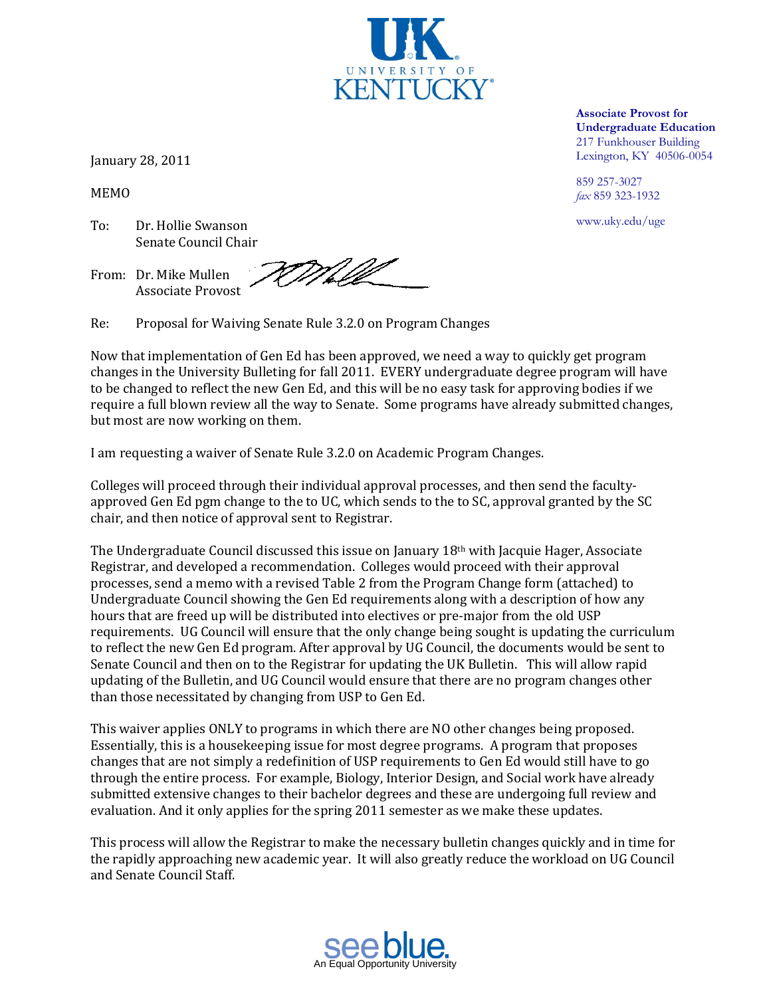

January 28, 2011

MEMO

To: Dr. Hollie Swanson Senate Council Chair

WMIA From: Dr. Mike Mullen Associate Provost

Re: Proposal for Waiving Senate Rule 3.2.0 on Program Changes

Now that implementation of Gen Ed has been approved, we need a way to quickly get program changes in the University Bulleting for fall 2011. EVERY undergraduate degree program will have to be changed to reflect the new Gen Ed, and this will be no easy task for approving bodies if we require a full blown review all the way to Senate. Some programs have already submitted changes, but most are now working on them.

I am requesting a waiver of Senate Rule 3.2.0 on Academic Program Changes.

Colleges will proceed through their individual approval processes, and then send the facultyapproved Gen Ed pgm change to the to UC, which sends to the to SC, approval granted by the SC chair, and then notice of approval sent to Registrar.

The Undergraduate Council discussed this issue on January  $18<sup>th</sup>$  with Jacquie Hager, Associate Registrar, and developed a recommendation. Colleges would proceed with their approval processes, send a memo with a revised Table 2 from the Program Change form (attached) to Undergraduate Council showing the Gen Ed requirements along with a description of how any hours that are freed up will be distributed into electives or pre-major from the old USP requirements. UG Council will ensure that the only change being sought is updating the curriculum to reflect the new Gen Ed program. After approval by UG Council, the documents would be sent to Senate Council and then on to the Registrar for updating the UK Bulletin. This will allow rapid updating of the Bulletin, and UG Council would ensure that there are no program changes other than those necessitated by changing from USP to Gen Ed.

This waiver applies ONLY to programs in which there are NO other changes being proposed. Essentially, this is a housekeeping issue for most degree programs. A program that proposes changes that are not simply a redefinition of USP requirements to Gen Ed would still have to go through the entire process. For example, Biology, Interior Design, and Social work have already submitted extensive changes to their bachelor degrees and these are undergoing full review and evaluation. And it only applies for the spring 2011 semester as we make these updates.

This process will allow the Registrar to make the necessary bulletin changes quickly and in time for the rapidly approaching new academic year. It will also greatly reduce the workload on UG Council and Senate Council Staff.

**Associate Provost for Undergraduate Education** 217 Funkhouser Building Lexington, KY 40506-0054

859 257-3027 *fax* 859 323-1932

www.uky.edu/ugs www.uky.edu/uge